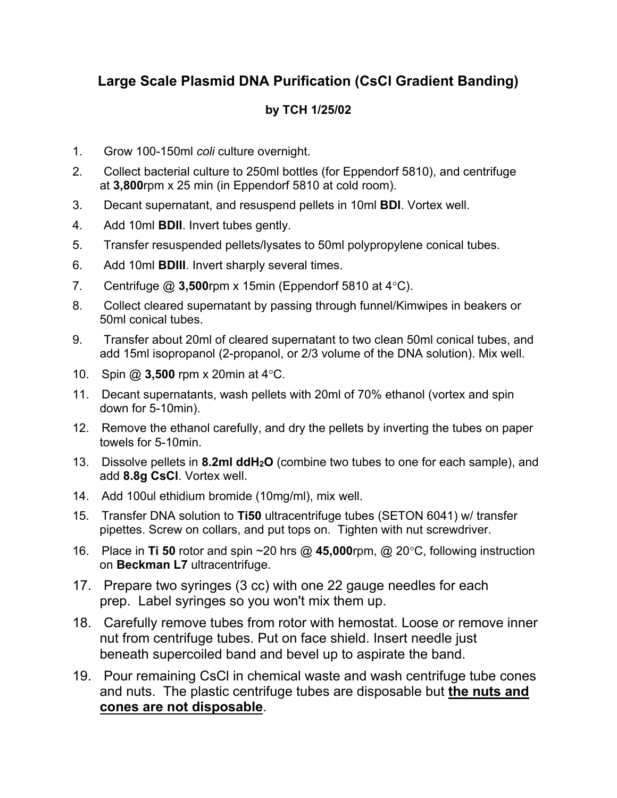# **Large Scale Plasmid DNA Purification (CsCl Gradient Banding)**

### **by TCH 1/25/02**

- 1. Grow 100-150ml *coli* culture overnight.
- 2. Collect bacterial culture to 250ml bottles (for Eppendorf 5810), and centrifuge at **3,800**rpm x 25 min (in Eppendorf 5810 at cold room).
- 3. Decant supernatant, and resuspend pellets in 10ml **BDI**. Vortex well.
- 4. Add 10ml **BDII**. Invert tubes gently.
- 5. Transfer resuspended pellets/lysates to 50ml polypropylene conical tubes.
- 6. Add 10ml **BDIII**. Invert sharply several times.
- 7. Centrifuge @ 3,500rpm x 15min (Eppendorf 5810 at 4°C).
- 8. Collect cleared supernatant by passing through funnel/Kimwipes in beakers or 50ml conical tubes.
- 9. Transfer about 20ml of cleared supernatant to two clean 50ml conical tubes, and add 15ml isopropanol (2-propanol, or 2/3 volume of the DNA solution). Mix well.
- 10. Spin @ **3,500** rpm x 20min at 4°C.
- 11. Decant supernatants, wash pellets with 20ml of 70% ethanol (vortex and spin down for 5-10min).
- 12. Remove the ethanol carefully, and dry the pellets by inverting the tubes on paper towels for 5-10min.
- 13. Dissolve pellets in **8.2ml ddH2O** (combine two tubes to one for each sample), and add **8.8g CsCl**. Vortex well.
- 14. Add 100ul ethidium bromide (10mg/ml), mix well.
- 15. Transfer DNA solution to **Ti50** ultracentrifuge tubes (SETON 6041) w/ transfer pipettes. Screw on collars, and put tops on. Tighten with nut screwdriver.
- 16. Place in **Ti 50** rotor and spin  $\sim$  20 hrs @ 45,000rpm, @ 20 $\degree$ C, following instruction on **Beckman L7** ultracentrifuge.
- 17. Prepare two syringes (3 cc) with one 22 gauge needles for each prep. Label syringes so you won't mix them up.
- 18. Carefully remove tubes from rotor with hemostat. Loose or remove inner nut from centrifuge tubes. Put on face shield. Insert needle just beneath supercoiled band and bevel up to aspirate the band.
- 19. Pour remaining CsCl in chemical waste and wash centrifuge tube cones and nuts. The plastic centrifuge tubes are disposable but **the nuts and cones are not disposable**.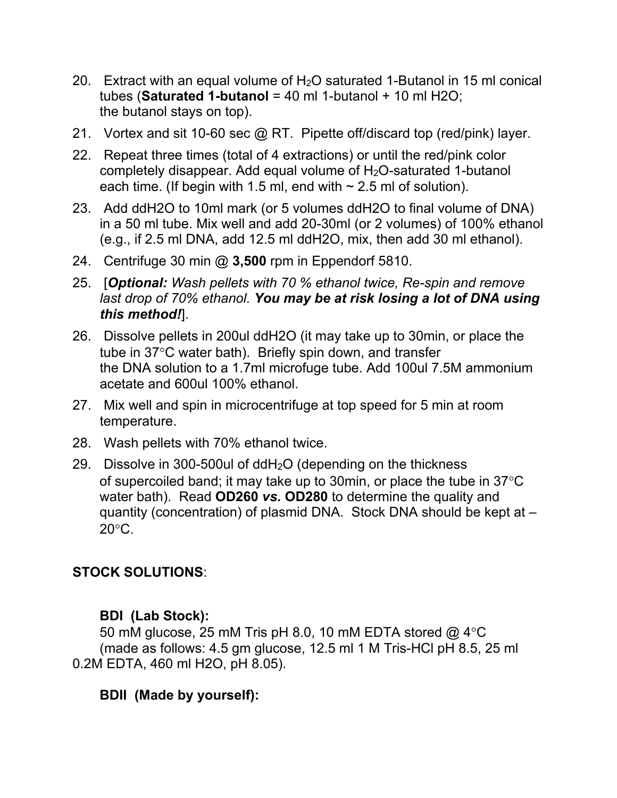- 20. Extract with an equal volume of  $H_2O$  saturated 1-Butanol in 15 ml conical tubes (**Saturated 1-butanol** = 40 ml 1-butanol + 10 ml H2O; the butanol stays on top).
- 21. Vortex and sit 10-60 sec @ RT. Pipette off/discard top (red/pink) layer.
- 22. Repeat three times (total of 4 extractions) or until the red/pink color completely disappear. Add equal volume of H2O-saturated 1-butanol each time. (If begin with 1.5 ml, end with  $\sim$  2.5 ml of solution).
- 23. Add ddH2O to 10ml mark (or 5 volumes ddH2O to final volume of DNA) in a 50 ml tube. Mix well and add 20-30ml (or 2 volumes) of 100% ethanol (e.g., if 2.5 ml DNA, add 12.5 ml ddH2O, mix, then add 30 ml ethanol).
- 24. Centrifuge 30 min @ **3,500** rpm in Eppendorf 5810.
- 25. [*Optional: Wash pellets with 70 % ethanol twice, Re-spin and remove last drop of 70% ethanol. You may be at risk losing a lot of DNA using this method!*].
- 26. Dissolve pellets in 200ul ddH2O (it may take up to 30min, or place the tube in 37°C water bath). Briefly spin down, and transfer the DNA solution to a 1.7ml microfuge tube. Add 100ul 7.5M ammonium acetate and 600ul 100% ethanol.
- 27. Mix well and spin in microcentrifuge at top speed for 5 min at room temperature.
- 28. Wash pellets with 70% ethanol twice.
- 29. Dissolve in 300-500ul of  $ddH<sub>2</sub>O$  (depending on the thickness of supercoiled band; it may take up to 30min, or place the tube in  $37^{\circ}$ C water bath). Read **OD260** *vs.* **OD280** to determine the quality and quantity (concentration) of plasmid DNA. Stock DNA should be kept at –  $20^{\circ}$ C.

## **STOCK SOLUTIONS**:

### **BDI (Lab Stock):**

50 mM glucose, 25 mM Tris pH 8.0, 10 mM EDTA stored  $@$  4 $°C$ (made as follows: 4.5 gm glucose, 12.5 ml 1 M Tris-HCl pH 8.5, 25 ml 0.2M EDTA, 460 ml H2O, pH 8.05).

## **BDII (Made by yourself):**